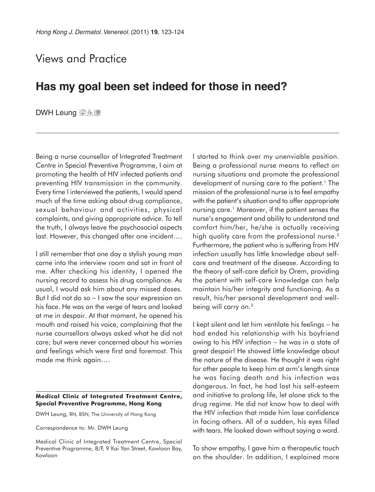## Views and Practice

## **Has my goal been set indeed for those in need?**

DWH Leung 梁永康

Being a nurse counsellor of Integrated Treatment Centre in Special Preventive Programme, I aim at promoting the health of HIV infected patients and preventing HIV transmission in the community. Every time I interviewed the patients, I would spend much of the time asking about drug compliance, sexual behaviour and activities, physical complaints, and giving appropriate advice. To tell the truth, I always leave the psychosocial aspects last. However, this changed after one incident….

I still remember that one day a stylish young man came into the interview room and sat in front of me. After checking his identity, I opened the nursing record to assess his drug compliance. As usual, I would ask him about any missed doses. But I did not do so − I saw the sour expression on his face. He was on the verge of tears and looked at me in despair. At that moment, he opened his mouth and raised his voice, complaining that the nurse counsellors always asked what he did not care; but were never concerned about his worries and feelings which were first and foremost. This made me think again….

## **Medical Clinic of Integrated Treatment Centre, Special Preventive Programme, Hong Kong**

DWH Leung, RN, BSN, The University of Hong Kong

Correspondence to: Mr. DWH Leung

Medical Clinic of Integrated Treatment Centre, Special Preventive Programme, 8/F, 9 Kai Yan Street, Kowloon Bay, Kowloon

I started to think over my unenviable position. Being a professional nurse means to reflect on nursing situations and promote the professional development of nursing care to the patient.<sup>1</sup> The mission of the professional nurse is to feel empathy with the patient's situation and to offer appropriate nursing care.<sup>1</sup> Moreover, if the patient senses the nurse's engagement and ability to understand and comfort him/her, he/she is actually receiving high quality care from the professional nurse.<sup>2</sup> Furthermore, the patient who is suffering from HIV infection usually has little knowledge about selfcare and treatment of the disease. According to the theory of self-care deficit by Orem, providing the patient with self-care knowledge can help maintain his/her integrity and functioning. As a result, his/her personal development and wellbeing will carry on.3

I kept silent and let him ventilate his feelings − he had ended his relationship with his boyfriend owing to his HIV infection – he was in a state of great despair! He showed little knowledge about the nature of the disease. He thought it was right for other people to keep him at arm's length since he was facing death and his infection was dangerous. In fact, he had lost his self-esteem and initiative to prolong life, let alone stick to the drug regime. He did not know how to deal with the HIV infection that made him lose confidence in facing others. All of a sudden, his eyes filled with tears. He looked down without saying a word.

To show empathy, I gave him a therapeutic touch on the shoulder. In addition, I explained more